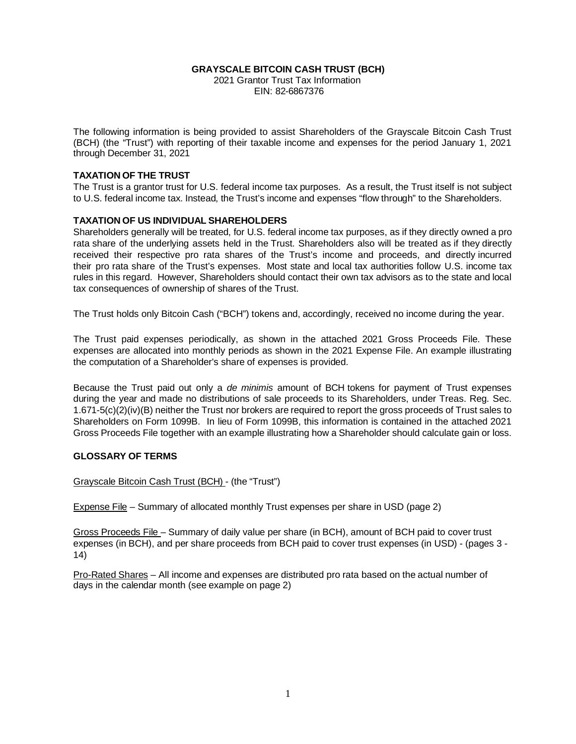#### **GRAYSCALE BITCOIN CASH TRUST (BCH)** 2021 Grantor Trust Tax Information EIN: 82-6867376

The following information is being provided to assist Shareholders of the Grayscale Bitcoin Cash Trust (BCH) (the "Trust") with reporting of their taxable income and expenses for the period January 1, 2021 through December 31, 2021

### **TAXATION OF THE TRUST**

The Trust is a grantor trust for U.S. federal income tax purposes. As a result, the Trust itself is not subject to U.S. federal income tax. Instead, the Trust's income and expenses "flow through" to the Shareholders.

### **TAXATION OF US INDIVIDUAL SHAREHOLDERS**

Shareholders generally will be treated, for U.S. federal income tax purposes, as if they directly owned a pro rata share of the underlying assets held in the Trust. Shareholders also will be treated as if they directly received their respective pro rata shares of the Trust's income and proceeds, and directly incurred their pro rata share of the Trust's expenses. Most state and local tax authorities follow U.S. income tax rules in this regard. However, Shareholders should contact their own tax advisors as to the state and local tax consequences of ownership of shares of the Trust.

The Trust holds only Bitcoin Cash ("BCH") tokens and, accordingly, received no income during the year.

The Trust paid expenses periodically, as shown in the attached 2021 Gross Proceeds File. These expenses are allocated into monthly periods as shown in the 2021 Expense File. An example illustrating the computation of a Shareholder's share of expenses is provided.

Because the Trust paid out only a *de minimis* amount of BCH tokens for payment of Trust expenses during the year and made no distributions of sale proceeds to its Shareholders, under Treas. Reg. Sec. 1.671-5(c)(2)(iv)(B) neither the Trust nor brokers are required to report the gross proceeds of Trust sales to Shareholders on Form 1099B. In lieu of Form 1099B, this information is contained in the attached 2021 Gross Proceeds File together with an example illustrating how a Shareholder should calculate gain or loss.

### **GLOSSARY OF TERMS**

Grayscale Bitcoin Cash Trust (BCH) - (the "Trust")

Expense File – Summary of allocated monthly Trust expenses per share in USD (page 2)

Gross Proceeds File – Summary of daily value per share (in BCH), amount of BCH paid to cover trust expenses (in BCH), and per share proceeds from BCH paid to cover trust expenses (in USD) - (pages 3 - 14)

Pro-Rated Shares – All income and expenses are distributed pro rata based on the actual number of days in the calendar month (see example on page 2)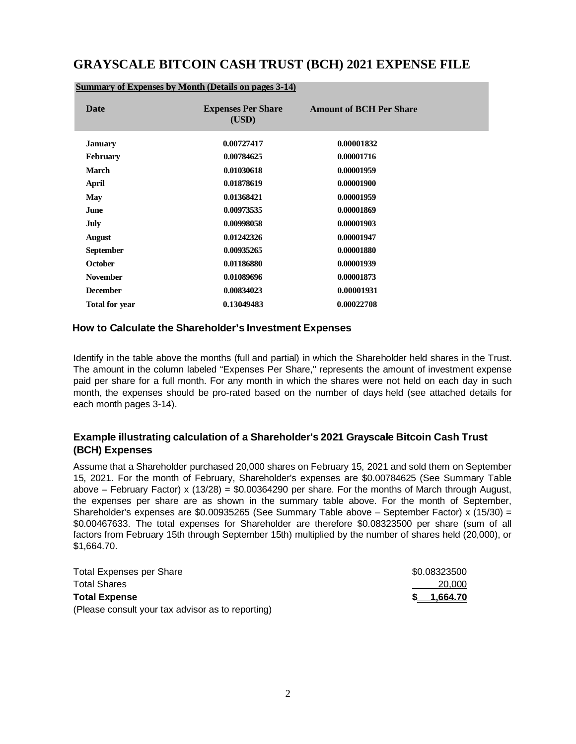# **GRAYSCALE BITCOIN CASH TRUST (BCH) 2021 EXPENSE FILE**

| Date                  | <b>Expenses Per Share</b><br>(USD) | <b>Amount of BCH Per Share</b> |
|-----------------------|------------------------------------|--------------------------------|
| <b>January</b>        | 0.00727417                         | 0.00001832                     |
| <b>February</b>       | 0.00784625                         | 0.00001716                     |
| <b>March</b>          | 0.01030618                         | 0.00001959                     |
| April                 | 0.01878619                         | 0.00001900                     |
| <b>May</b>            | 0.01368421                         | 0.00001959                     |
| June                  | 0.00973535                         | 0.00001869                     |
| July                  | 0.00998058                         | 0.00001903                     |
| <b>August</b>         | 0.01242326                         | 0.00001947                     |
| <b>September</b>      | 0.00935265                         | 0.00001880                     |
| <b>October</b>        | 0.01186880                         | 0.00001939                     |
| <b>November</b>       | 0.01089696                         | 0.00001873                     |
| <b>December</b>       | 0.00834023                         | 0.00001931                     |
| <b>Total for year</b> | 0.13049483                         | 0.00022708                     |

#### **Summary of Expenses by Month (Details on pages 3-14)**

### **How to Calculate the Shareholder's Investment Expenses**

Identify in the table above the months (full and partial) in which the Shareholder held shares in the Trust. The amount in the column labeled "Expenses Per Share," represents the amount of investment expense paid per share for a full month. For any month in which the shares were not held on each day in such month, the expenses should be pro-rated based on the number of days held (see attached details for each month pages 3-14).

### **Example illustrating calculation of a Shareholder's 2021 Grayscale Bitcoin Cash Trust (BCH) Expenses**

Assume that a Shareholder purchased 20,000 shares on February 15, 2021 and sold them on September 15, 2021. For the month of February, Shareholder's expenses are \$0.00784625 (See Summary Table above – February Factor) x (13/28) = \$0.00364290 per share. For the months of March through August, the expenses per share are as shown in the summary table above. For the month of September, Shareholder's expenses are \$0.00935265 (See Summary Table above – September Factor) x (15/30) = \$0.00467633. The total expenses for Shareholder are therefore \$0.08323500 per share (sum of all factors from February 15th through September 15th) multiplied by the number of shares held (20,000), or \$1,664.70.

| <b>Total Expenses per Share</b>                   | \$0.08323500 |
|---------------------------------------------------|--------------|
| <b>Total Shares</b>                               | 20,000       |
| <b>Total Expense</b>                              | 1,664.70     |
| (Please consult your tax advisor as to reporting) |              |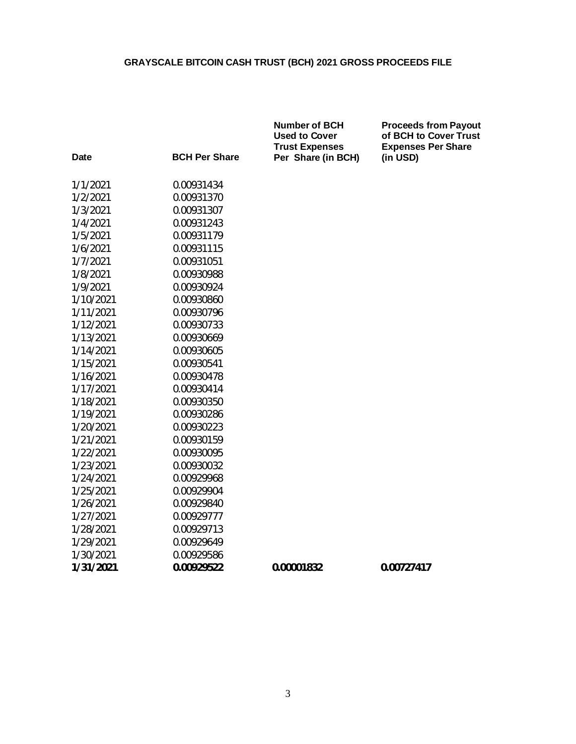**Number of BCH Proceeds from Payout**

| <b>Date</b> | <b>BCH Per Share</b> | <b>Used to Cover</b><br><b>Trust Expenses</b><br>Per Share (in BCH) | of BCH to Cover Trust<br><b>Expenses Per Share</b><br>(in USD) |
|-------------|----------------------|---------------------------------------------------------------------|----------------------------------------------------------------|
| 1/1/2021    | 0.00931434           |                                                                     |                                                                |
| 1/2/2021    | 0.00931370           |                                                                     |                                                                |
| 1/3/2021    | 0.00931307           |                                                                     |                                                                |
| 1/4/2021    | 0.00931243           |                                                                     |                                                                |
| 1/5/2021    | 0.00931179           |                                                                     |                                                                |
| 1/6/2021    | 0.00931115           |                                                                     |                                                                |
| 1/7/2021    | 0.00931051           |                                                                     |                                                                |
| 1/8/2021    | 0.00930988           |                                                                     |                                                                |
| 1/9/2021    | 0.00930924           |                                                                     |                                                                |
| 1/10/2021   | 0.00930860           |                                                                     |                                                                |
| 1/11/2021   | 0.00930796           |                                                                     |                                                                |
| 1/12/2021   | 0.00930733           |                                                                     |                                                                |
| 1/13/2021   | 0.00930669           |                                                                     |                                                                |
| 1/14/2021   | 0.00930605           |                                                                     |                                                                |
| 1/15/2021   | 0.00930541           |                                                                     |                                                                |
| 1/16/2021   | 0.00930478           |                                                                     |                                                                |
| 1/17/2021   | 0.00930414           |                                                                     |                                                                |
| 1/18/2021   | 0.00930350           |                                                                     |                                                                |
| 1/19/2021   | 0.00930286           |                                                                     |                                                                |
| 1/20/2021   | 0.00930223           |                                                                     |                                                                |
| 1/21/2021   | 0.00930159           |                                                                     |                                                                |
| 1/22/2021   | 0.00930095           |                                                                     |                                                                |
| 1/23/2021   | 0.00930032           |                                                                     |                                                                |
| 1/24/2021   | 0.00929968           |                                                                     |                                                                |
| 1/25/2021   | 0.00929904           |                                                                     |                                                                |
| 1/26/2021   | 0.00929840           |                                                                     |                                                                |
| 1/27/2021   | 0.00929777           |                                                                     |                                                                |
| 1/28/2021   | 0.00929713           |                                                                     |                                                                |
| 1/29/2021   | 0.00929649           |                                                                     |                                                                |
| 1/30/2021   | 0.00929586           |                                                                     |                                                                |
| 1/31/2021   | 0.00929522           | 0.00001832                                                          | 0.00727417                                                     |
|             |                      |                                                                     |                                                                |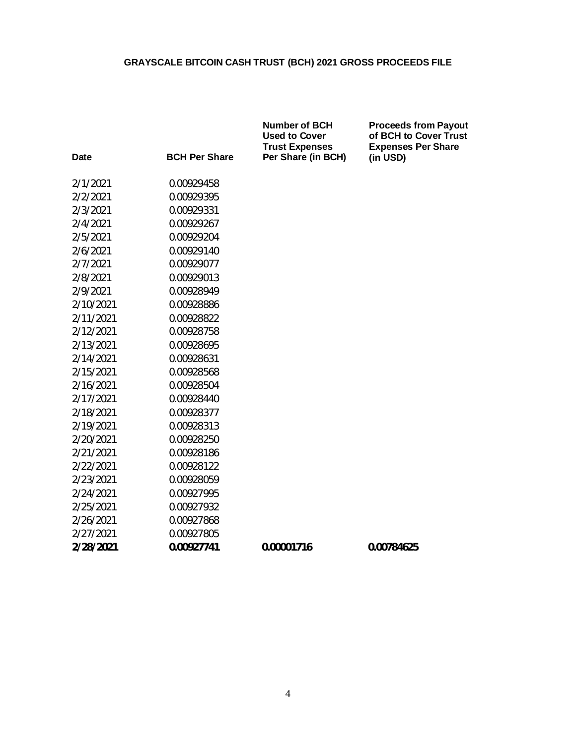|           |                      | <b>Number of BCH</b><br><b>Used to Cover</b><br><b>Trust Expenses</b> | <b>Proceeds from Payout</b><br>of BCH to Cover Trust<br><b>Expenses Per Share</b> |
|-----------|----------------------|-----------------------------------------------------------------------|-----------------------------------------------------------------------------------|
| Date      | <b>BCH Per Share</b> | Per Share (in BCH)                                                    | (in USD)                                                                          |
| 2/1/2021  | 0.00929458           |                                                                       |                                                                                   |
| 2/2/2021  | 0.00929395           |                                                                       |                                                                                   |
| 2/3/2021  | 0.00929331           |                                                                       |                                                                                   |
| 2/4/2021  | 0.00929267           |                                                                       |                                                                                   |
| 2/5/2021  | 0.00929204           |                                                                       |                                                                                   |
| 2/6/2021  | 0.00929140           |                                                                       |                                                                                   |
| 2/7/2021  | 0.00929077           |                                                                       |                                                                                   |
| 2/8/2021  | 0.00929013           |                                                                       |                                                                                   |
| 2/9/2021  | 0.00928949           |                                                                       |                                                                                   |
| 2/10/2021 | 0.00928886           |                                                                       |                                                                                   |
| 2/11/2021 | 0.00928822           |                                                                       |                                                                                   |
| 2/12/2021 | 0.00928758           |                                                                       |                                                                                   |
| 2/13/2021 | 0.00928695           |                                                                       |                                                                                   |
| 2/14/2021 | 0.00928631           |                                                                       |                                                                                   |
| 2/15/2021 | 0.00928568           |                                                                       |                                                                                   |
| 2/16/2021 | 0.00928504           |                                                                       |                                                                                   |
| 2/17/2021 | 0.00928440           |                                                                       |                                                                                   |
| 2/18/2021 | 0.00928377           |                                                                       |                                                                                   |
| 2/19/2021 | 0.00928313           |                                                                       |                                                                                   |
| 2/20/2021 | 0.00928250           |                                                                       |                                                                                   |
| 2/21/2021 | 0.00928186           |                                                                       |                                                                                   |
| 2/22/2021 | 0.00928122           |                                                                       |                                                                                   |
| 2/23/2021 | 0.00928059           |                                                                       |                                                                                   |
| 2/24/2021 | 0.00927995           |                                                                       |                                                                                   |
| 2/25/2021 | 0.00927932           |                                                                       |                                                                                   |
| 2/26/2021 | 0.00927868           |                                                                       |                                                                                   |
| 2/27/2021 | 0.00927805           |                                                                       |                                                                                   |
| 2/28/2021 | 0.00927741           | 0.00001716                                                            | 0.00784625                                                                        |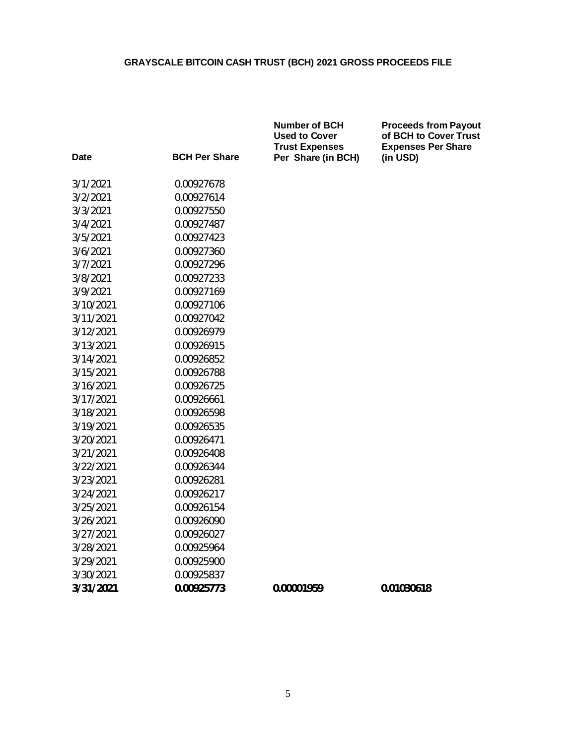|             |                      | <b>Number of BCH</b><br><b>Used to Cover</b><br><b>Trust Expenses</b> | <b>Proceeds from Payout</b><br>of BCH to Cover Trust<br><b>Expenses Per Share</b> |
|-------------|----------------------|-----------------------------------------------------------------------|-----------------------------------------------------------------------------------|
| <b>Date</b> | <b>BCH Per Share</b> | Per Share (in BCH)                                                    | (in USD)                                                                          |
| 3/1/2021    | 0.00927678           |                                                                       |                                                                                   |
| 3/2/2021    | 0.00927614           |                                                                       |                                                                                   |
| 3/3/2021    | 0.00927550           |                                                                       |                                                                                   |
| 3/4/2021    | 0.00927487           |                                                                       |                                                                                   |
| 3/5/2021    | 0.00927423           |                                                                       |                                                                                   |
| 3/6/2021    | 0.00927360           |                                                                       |                                                                                   |
| 3/7/2021    | 0.00927296           |                                                                       |                                                                                   |
| 3/8/2021    | 0.00927233           |                                                                       |                                                                                   |
| 3/9/2021    | 0.00927169           |                                                                       |                                                                                   |
| 3/10/2021   | 0.00927106           |                                                                       |                                                                                   |
| 3/11/2021   | 0.00927042           |                                                                       |                                                                                   |
| 3/12/2021   | 0.00926979           |                                                                       |                                                                                   |
| 3/13/2021   | 0.00926915           |                                                                       |                                                                                   |
| 3/14/2021   | 0.00926852           |                                                                       |                                                                                   |
| 3/15/2021   | 0.00926788           |                                                                       |                                                                                   |
| 3/16/2021   | 0.00926725           |                                                                       |                                                                                   |
| 3/17/2021   | 0.00926661           |                                                                       |                                                                                   |
| 3/18/2021   | 0.00926598           |                                                                       |                                                                                   |
| 3/19/2021   | 0.00926535           |                                                                       |                                                                                   |
| 3/20/2021   | 0.00926471           |                                                                       |                                                                                   |
| 3/21/2021   | 0.00926408           |                                                                       |                                                                                   |
| 3/22/2021   | 0.00926344           |                                                                       |                                                                                   |
| 3/23/2021   | 0.00926281           |                                                                       |                                                                                   |
| 3/24/2021   | 0.00926217           |                                                                       |                                                                                   |
| 3/25/2021   | 0.00926154           |                                                                       |                                                                                   |
| 3/26/2021   | 0.00926090           |                                                                       |                                                                                   |
| 3/27/2021   | 0.00926027           |                                                                       |                                                                                   |
| 3/28/2021   | 0.00925964           |                                                                       |                                                                                   |
| 3/29/2021   | 0.00925900           |                                                                       |                                                                                   |
| 3/30/2021   | 0.00925837           |                                                                       |                                                                                   |
| 3/31/2021   | 0.00925773           | 0.00001959                                                            | 0.01030618                                                                        |
|             |                      |                                                                       |                                                                                   |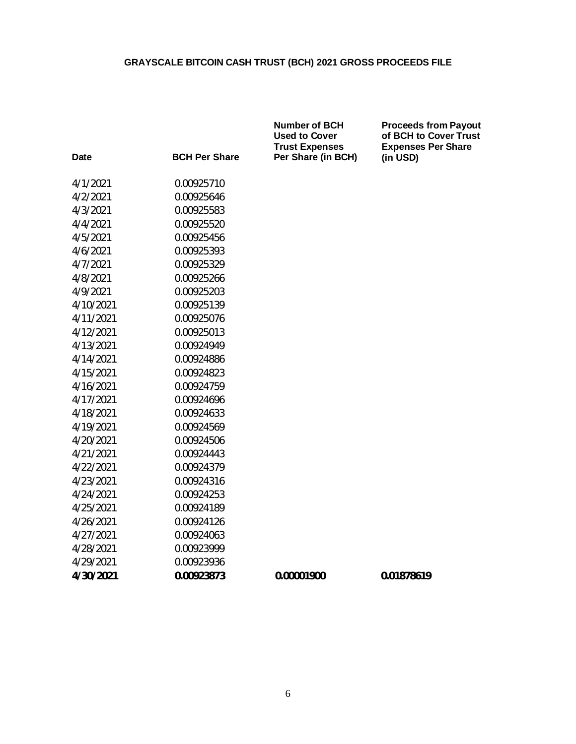|           |                      | <b>Number of BCH</b><br><b>Used to Cover</b><br><b>Trust Expenses</b> | <b>Proceeds from Payout</b><br>of BCH to Cover Trust<br><b>Expenses Per Share</b> |
|-----------|----------------------|-----------------------------------------------------------------------|-----------------------------------------------------------------------------------|
| Date      | <b>BCH Per Share</b> | Per Share (in BCH)                                                    | (in USD)                                                                          |
| 4/1/2021  | 0.00925710           |                                                                       |                                                                                   |
| 4/2/2021  | 0.00925646           |                                                                       |                                                                                   |
| 4/3/2021  | 0.00925583           |                                                                       |                                                                                   |
| 4/4/2021  | 0.00925520           |                                                                       |                                                                                   |
| 4/5/2021  | 0.00925456           |                                                                       |                                                                                   |
| 4/6/2021  | 0.00925393           |                                                                       |                                                                                   |
| 4/7/2021  | 0.00925329           |                                                                       |                                                                                   |
| 4/8/2021  | 0.00925266           |                                                                       |                                                                                   |
| 4/9/2021  | 0.00925203           |                                                                       |                                                                                   |
| 4/10/2021 | 0.00925139           |                                                                       |                                                                                   |
| 4/11/2021 | 0.00925076           |                                                                       |                                                                                   |
| 4/12/2021 | 0.00925013           |                                                                       |                                                                                   |
| 4/13/2021 | 0.00924949           |                                                                       |                                                                                   |
| 4/14/2021 | 0.00924886           |                                                                       |                                                                                   |
| 4/15/2021 | 0.00924823           |                                                                       |                                                                                   |
| 4/16/2021 | 0.00924759           |                                                                       |                                                                                   |
| 4/17/2021 | 0.00924696           |                                                                       |                                                                                   |
| 4/18/2021 | 0.00924633           |                                                                       |                                                                                   |
| 4/19/2021 | 0.00924569           |                                                                       |                                                                                   |
| 4/20/2021 | 0.00924506           |                                                                       |                                                                                   |
| 4/21/2021 | 0.00924443           |                                                                       |                                                                                   |
| 4/22/2021 | 0.00924379           |                                                                       |                                                                                   |
| 4/23/2021 | 0.00924316           |                                                                       |                                                                                   |
| 4/24/2021 | 0.00924253           |                                                                       |                                                                                   |
| 4/25/2021 | 0.00924189           |                                                                       |                                                                                   |
| 4/26/2021 | 0.00924126           |                                                                       |                                                                                   |
| 4/27/2021 | 0.00924063           |                                                                       |                                                                                   |
| 4/28/2021 | 0.00923999           |                                                                       |                                                                                   |
| 4/29/2021 | 0.00923936           |                                                                       |                                                                                   |
| 4/30/2021 | 0.00923873           | 0.00001900                                                            | 0.01878619                                                                        |
|           |                      |                                                                       |                                                                                   |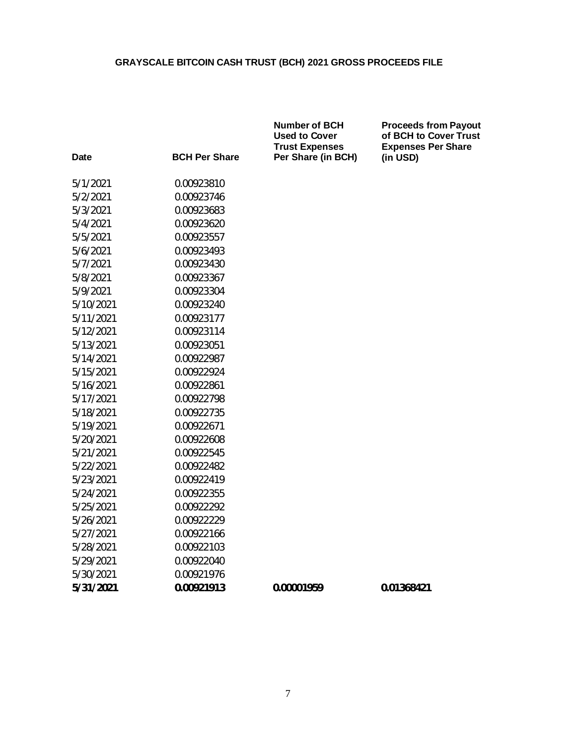|             |                      | <b>Number of BCH</b><br><b>Used to Cover</b><br><b>Trust Expenses</b> | <b>Proceeds from Payout</b><br>of BCH to Cover Trust<br><b>Expenses Per Share</b> |
|-------------|----------------------|-----------------------------------------------------------------------|-----------------------------------------------------------------------------------|
| <b>Date</b> | <b>BCH Per Share</b> | Per Share (in BCH)                                                    | (in USD)                                                                          |
| 5/1/2021    | 0.00923810           |                                                                       |                                                                                   |
| 5/2/2021    | 0.00923746           |                                                                       |                                                                                   |
| 5/3/2021    | 0.00923683           |                                                                       |                                                                                   |
| 5/4/2021    | 0.00923620           |                                                                       |                                                                                   |
| 5/5/2021    | 0.00923557           |                                                                       |                                                                                   |
| 5/6/2021    | 0.00923493           |                                                                       |                                                                                   |
| 5/7/2021    | 0.00923430           |                                                                       |                                                                                   |
| 5/8/2021    | 0.00923367           |                                                                       |                                                                                   |
| 5/9/2021    | 0.00923304           |                                                                       |                                                                                   |
| 5/10/2021   | 0.00923240           |                                                                       |                                                                                   |
| 5/11/2021   | 0.00923177           |                                                                       |                                                                                   |
| 5/12/2021   | 0.00923114           |                                                                       |                                                                                   |
| 5/13/2021   | 0.00923051           |                                                                       |                                                                                   |
| 5/14/2021   | 0.00922987           |                                                                       |                                                                                   |
| 5/15/2021   | 0.00922924           |                                                                       |                                                                                   |
| 5/16/2021   | 0.00922861           |                                                                       |                                                                                   |
| 5/17/2021   | 0.00922798           |                                                                       |                                                                                   |
| 5/18/2021   | 0.00922735           |                                                                       |                                                                                   |
| 5/19/2021   | 0.00922671           |                                                                       |                                                                                   |
| 5/20/2021   | 0.00922608           |                                                                       |                                                                                   |
| 5/21/2021   | 0.00922545           |                                                                       |                                                                                   |
| 5/22/2021   | 0.00922482           |                                                                       |                                                                                   |
| 5/23/2021   | 0.00922419           |                                                                       |                                                                                   |
| 5/24/2021   | 0.00922355           |                                                                       |                                                                                   |
| 5/25/2021   | 0.00922292           |                                                                       |                                                                                   |
| 5/26/2021   | 0.00922229           |                                                                       |                                                                                   |
| 5/27/2021   | 0.00922166           |                                                                       |                                                                                   |
| 5/28/2021   | 0.00922103           |                                                                       |                                                                                   |
| 5/29/2021   | 0.00922040           |                                                                       |                                                                                   |
| 5/30/2021   | 0.00921976           |                                                                       |                                                                                   |
| 5/31/2021   | 0.00921913           | 0.00001959                                                            | 0.01368421                                                                        |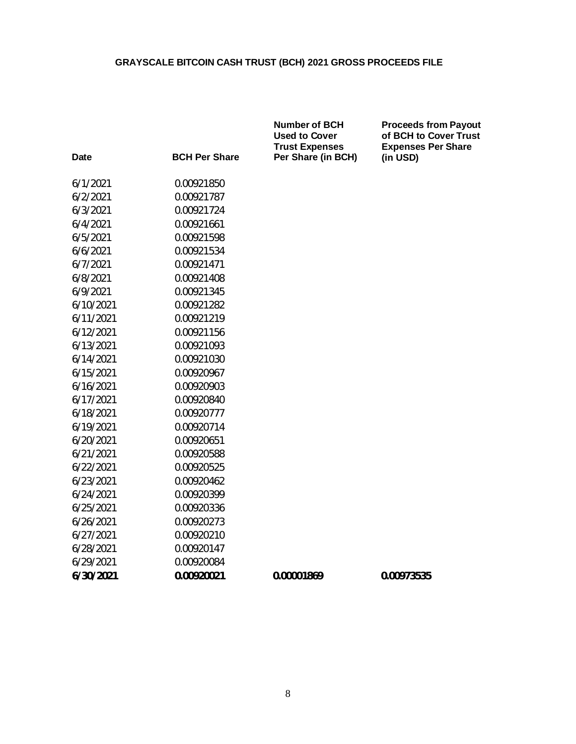|             |                      | <b>Number of BCH</b><br><b>Used to Cover</b><br><b>Trust Expenses</b> | <b>Proceeds from Payout</b><br>of BCH to Cover Trust<br><b>Expenses Per Share</b> |
|-------------|----------------------|-----------------------------------------------------------------------|-----------------------------------------------------------------------------------|
| <b>Date</b> | <b>BCH Per Share</b> | Per Share (in BCH)                                                    | (in USD)                                                                          |
| 6/1/2021    | 0.00921850           |                                                                       |                                                                                   |
| 6/2/2021    | 0.00921787           |                                                                       |                                                                                   |
| 6/3/2021    | 0.00921724           |                                                                       |                                                                                   |
| 6/4/2021    | 0.00921661           |                                                                       |                                                                                   |
| 6/5/2021    | 0.00921598           |                                                                       |                                                                                   |
| 6/6/2021    | 0.00921534           |                                                                       |                                                                                   |
| 6/7/2021    | 0.00921471           |                                                                       |                                                                                   |
| 6/8/2021    | 0.00921408           |                                                                       |                                                                                   |
| 6/9/2021    | 0.00921345           |                                                                       |                                                                                   |
| 6/10/2021   | 0.00921282           |                                                                       |                                                                                   |
| 6/11/2021   | 0.00921219           |                                                                       |                                                                                   |
| 6/12/2021   | 0.00921156           |                                                                       |                                                                                   |
| 6/13/2021   | 0.00921093           |                                                                       |                                                                                   |
| 6/14/2021   | 0.00921030           |                                                                       |                                                                                   |
| 6/15/2021   | 0.00920967           |                                                                       |                                                                                   |
| 6/16/2021   | 0.00920903           |                                                                       |                                                                                   |
| 6/17/2021   | 0.00920840           |                                                                       |                                                                                   |
| 6/18/2021   | 0.00920777           |                                                                       |                                                                                   |
| 6/19/2021   | 0.00920714           |                                                                       |                                                                                   |
| 6/20/2021   | 0.00920651           |                                                                       |                                                                                   |
| 6/21/2021   | 0.00920588           |                                                                       |                                                                                   |
| 6/22/2021   | 0.00920525           |                                                                       |                                                                                   |
| 6/23/2021   | 0.00920462           |                                                                       |                                                                                   |
| 6/24/2021   | 0.00920399           |                                                                       |                                                                                   |
| 6/25/2021   | 0.00920336           |                                                                       |                                                                                   |
| 6/26/2021   | 0.00920273           |                                                                       |                                                                                   |
| 6/27/2021   | 0.00920210           |                                                                       |                                                                                   |
| 6/28/2021   | 0.00920147           |                                                                       |                                                                                   |
| 6/29/2021   | 0.00920084           |                                                                       |                                                                                   |
| 6/30/2021   | 0.00920021           | 0.00001869                                                            | 0.00973535                                                                        |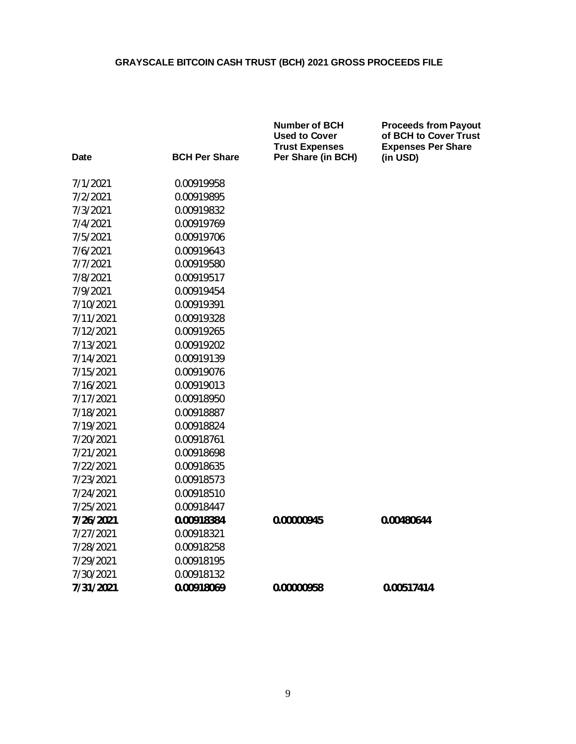| <b>BCH Per Share</b><br><b>Date</b> | <b>Trust Expenses</b><br>Per Share (in BCH) | <b>Expenses Per Share</b><br>(in USD) |
|-------------------------------------|---------------------------------------------|---------------------------------------|
|                                     |                                             |                                       |
| 7/1/2021<br>0.00919958              |                                             |                                       |
| 7/2/2021<br>0.00919895              |                                             |                                       |
| 7/3/2021<br>0.00919832              |                                             |                                       |
| 7/4/2021<br>0.00919769              |                                             |                                       |
| 7/5/2021<br>0.00919706              |                                             |                                       |
| 7/6/2021<br>0.00919643              |                                             |                                       |
| 7/7/2021<br>0.00919580              |                                             |                                       |
| 7/8/2021<br>0.00919517              |                                             |                                       |
| 7/9/2021<br>0.00919454              |                                             |                                       |
| 7/10/2021<br>0.00919391             |                                             |                                       |
| 7/11/2021<br>0.00919328             |                                             |                                       |
| 7/12/2021<br>0.00919265             |                                             |                                       |
| 7/13/2021<br>0.00919202             |                                             |                                       |
| 7/14/2021<br>0.00919139             |                                             |                                       |
| 7/15/2021<br>0.00919076             |                                             |                                       |
| 7/16/2021<br>0.00919013             |                                             |                                       |
| 7/17/2021<br>0.00918950             |                                             |                                       |
| 7/18/2021<br>0.00918887             |                                             |                                       |
| 7/19/2021<br>0.00918824             |                                             |                                       |
| 7/20/2021<br>0.00918761             |                                             |                                       |
| 7/21/2021<br>0.00918698             |                                             |                                       |
| 7/22/2021<br>0.00918635             |                                             |                                       |
| 7/23/2021<br>0.00918573             |                                             |                                       |
| 7/24/2021<br>0.00918510             |                                             |                                       |
| 7/25/2021<br>0.00918447             |                                             |                                       |
| 7/26/2021<br>0.00918384             | 0.00000945                                  | 0.00480644                            |
| 7/27/2021<br>0.00918321             |                                             |                                       |
| 7/28/2021<br>0.00918258             |                                             |                                       |
| 7/29/2021<br>0.00918195             |                                             |                                       |
| 7/30/2021<br>0.00918132             |                                             |                                       |
| 7/31/2021<br>0.00918069             | 0.00000958                                  | 0.00517414                            |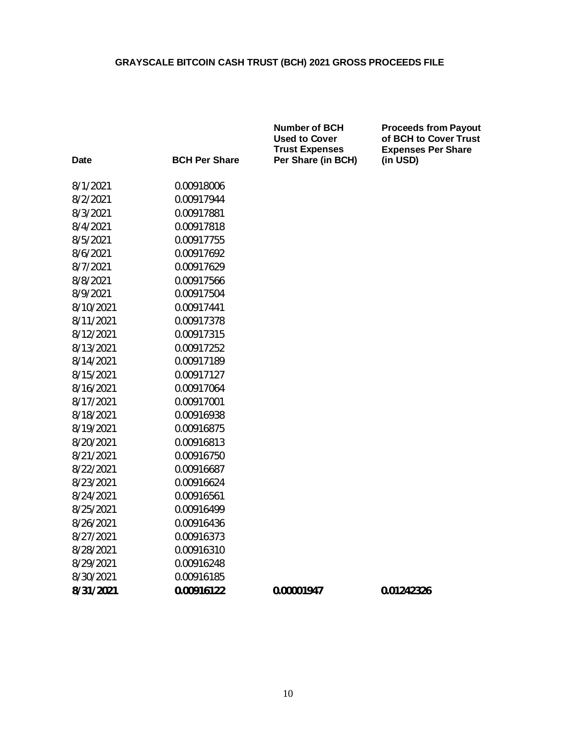**Number of BCH Proceeds from Payout**

| Date      | <b>BCH Per Share</b> | <b>Used to Cover</b><br><b>Trust Expenses</b><br>Per Share (in BCH) | of BCH to Cover Trust<br><b>Expenses Per Share</b><br>(in USD) |
|-----------|----------------------|---------------------------------------------------------------------|----------------------------------------------------------------|
| 8/1/2021  | 0.00918006           |                                                                     |                                                                |
| 8/2/2021  | 0.00917944           |                                                                     |                                                                |
| 8/3/2021  | 0.00917881           |                                                                     |                                                                |
| 8/4/2021  | 0.00917818           |                                                                     |                                                                |
| 8/5/2021  | 0.00917755           |                                                                     |                                                                |
| 8/6/2021  | 0.00917692           |                                                                     |                                                                |
| 8/7/2021  | 0.00917629           |                                                                     |                                                                |
| 8/8/2021  | 0.00917566           |                                                                     |                                                                |
| 8/9/2021  | 0.00917504           |                                                                     |                                                                |
| 8/10/2021 | 0.00917441           |                                                                     |                                                                |
| 8/11/2021 | 0.00917378           |                                                                     |                                                                |
| 8/12/2021 | 0.00917315           |                                                                     |                                                                |
| 8/13/2021 | 0.00917252           |                                                                     |                                                                |
| 8/14/2021 | 0.00917189           |                                                                     |                                                                |
| 8/15/2021 | 0.00917127           |                                                                     |                                                                |
| 8/16/2021 | 0.00917064           |                                                                     |                                                                |
| 8/17/2021 | 0.00917001           |                                                                     |                                                                |
| 8/18/2021 | 0.00916938           |                                                                     |                                                                |
| 8/19/2021 | 0.00916875           |                                                                     |                                                                |
| 8/20/2021 | 0.00916813           |                                                                     |                                                                |
| 8/21/2021 | 0.00916750           |                                                                     |                                                                |
| 8/22/2021 | 0.00916687           |                                                                     |                                                                |
| 8/23/2021 | 0.00916624           |                                                                     |                                                                |
| 8/24/2021 | 0.00916561           |                                                                     |                                                                |
| 8/25/2021 | 0.00916499           |                                                                     |                                                                |
| 8/26/2021 | 0.00916436           |                                                                     |                                                                |
| 8/27/2021 | 0.00916373           |                                                                     |                                                                |
| 8/28/2021 | 0.00916310           |                                                                     |                                                                |
| 8/29/2021 | 0.00916248           |                                                                     |                                                                |
| 8/30/2021 | 0.00916185           |                                                                     |                                                                |
| 8/31/2021 | 0.00916122           | 0.00001947                                                          | 0.01242326                                                     |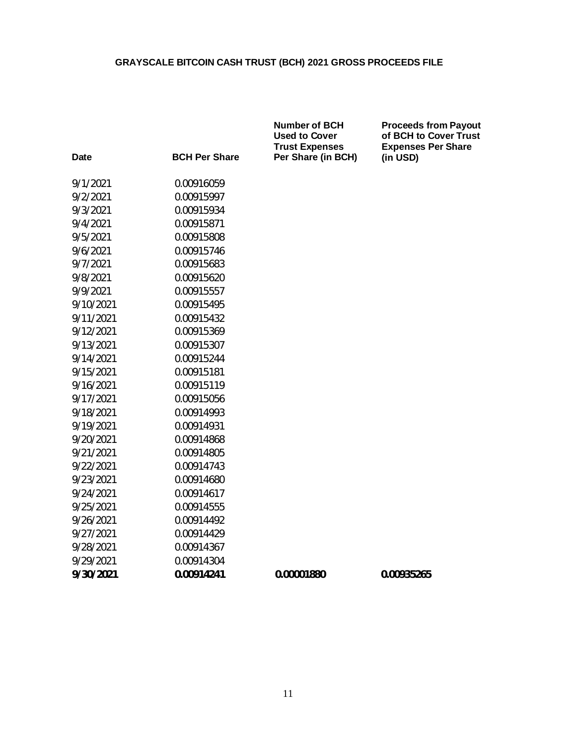|             |                      | <b>Number of BCH</b><br><b>Used to Cover</b><br><b>Trust Expenses</b> | <b>Proceeds from Payout</b><br>of BCH to Cover Trust<br><b>Expenses Per Share</b> |
|-------------|----------------------|-----------------------------------------------------------------------|-----------------------------------------------------------------------------------|
| <b>Date</b> | <b>BCH Per Share</b> | Per Share (in BCH)                                                    | (in USD)                                                                          |
| 9/1/2021    | 0.00916059           |                                                                       |                                                                                   |
| 9/2/2021    | 0.00915997           |                                                                       |                                                                                   |
| 9/3/2021    | 0.00915934           |                                                                       |                                                                                   |
| 9/4/2021    | 0.00915871           |                                                                       |                                                                                   |
| 9/5/2021    | 0.00915808           |                                                                       |                                                                                   |
| 9/6/2021    | 0.00915746           |                                                                       |                                                                                   |
| 9/7/2021    | 0.00915683           |                                                                       |                                                                                   |
| 9/8/2021    | 0.00915620           |                                                                       |                                                                                   |
| 9/9/2021    | 0.00915557           |                                                                       |                                                                                   |
| 9/10/2021   | 0.00915495           |                                                                       |                                                                                   |
| 9/11/2021   | 0.00915432           |                                                                       |                                                                                   |
| 9/12/2021   | 0.00915369           |                                                                       |                                                                                   |
| 9/13/2021   | 0.00915307           |                                                                       |                                                                                   |
| 9/14/2021   | 0.00915244           |                                                                       |                                                                                   |
| 9/15/2021   | 0.00915181           |                                                                       |                                                                                   |
| 9/16/2021   | 0.00915119           |                                                                       |                                                                                   |
| 9/17/2021   | 0.00915056           |                                                                       |                                                                                   |
| 9/18/2021   | 0.00914993           |                                                                       |                                                                                   |
| 9/19/2021   | 0.00914931           |                                                                       |                                                                                   |
| 9/20/2021   | 0.00914868           |                                                                       |                                                                                   |
| 9/21/2021   | 0.00914805           |                                                                       |                                                                                   |
| 9/22/2021   | 0.00914743           |                                                                       |                                                                                   |
| 9/23/2021   | 0.00914680           |                                                                       |                                                                                   |
| 9/24/2021   | 0.00914617           |                                                                       |                                                                                   |
| 9/25/2021   | 0.00914555           |                                                                       |                                                                                   |
| 9/26/2021   | 0.00914492           |                                                                       |                                                                                   |
| 9/27/2021   | 0.00914429           |                                                                       |                                                                                   |
| 9/28/2021   | 0.00914367           |                                                                       |                                                                                   |
| 9/29/2021   | 0.00914304           |                                                                       |                                                                                   |
| 9/30/2021   | 0.00914241           | 0.00001880                                                            | 0.00935265                                                                        |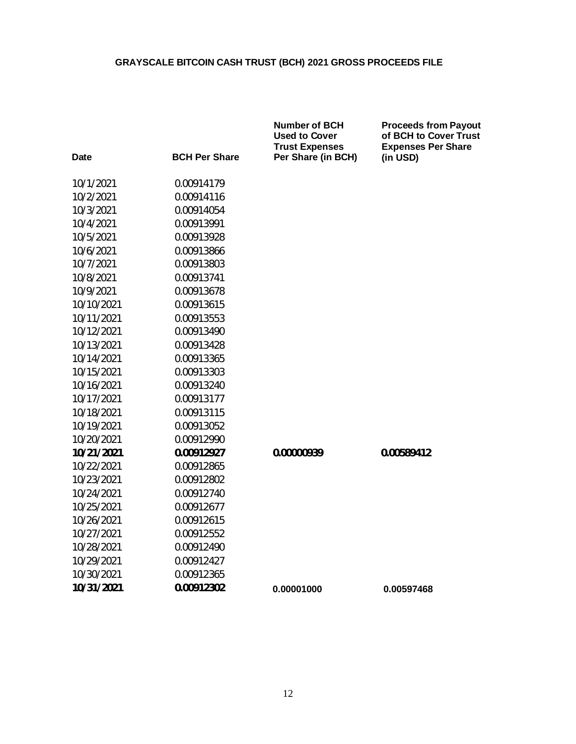| Date       | <b>BCH Per Share</b> | <b>Number of BCH</b><br><b>Used to Cover</b><br><b>Trust Expenses</b><br>Per Share (in BCH) | <b>Proceeds from Payout</b><br>of BCH to Cover Trust<br><b>Expenses Per Share</b><br>(in USD) |
|------------|----------------------|---------------------------------------------------------------------------------------------|-----------------------------------------------------------------------------------------------|
| 10/1/2021  | 0.00914179           |                                                                                             |                                                                                               |
| 10/2/2021  | 0.00914116           |                                                                                             |                                                                                               |
| 10/3/2021  | 0.00914054           |                                                                                             |                                                                                               |
| 10/4/2021  | 0.00913991           |                                                                                             |                                                                                               |
| 10/5/2021  | 0.00913928           |                                                                                             |                                                                                               |
| 10/6/2021  | 0.00913866           |                                                                                             |                                                                                               |
| 10/7/2021  | 0.00913803           |                                                                                             |                                                                                               |
| 10/8/2021  | 0.00913741           |                                                                                             |                                                                                               |
| 10/9/2021  | 0.00913678           |                                                                                             |                                                                                               |
| 10/10/2021 | 0.00913615           |                                                                                             |                                                                                               |
| 10/11/2021 | 0.00913553           |                                                                                             |                                                                                               |
| 10/12/2021 | 0.00913490           |                                                                                             |                                                                                               |
| 10/13/2021 | 0.00913428           |                                                                                             |                                                                                               |
| 10/14/2021 | 0.00913365           |                                                                                             |                                                                                               |
| 10/15/2021 | 0.00913303           |                                                                                             |                                                                                               |
| 10/16/2021 | 0.00913240           |                                                                                             |                                                                                               |
| 10/17/2021 | 0.00913177           |                                                                                             |                                                                                               |
| 10/18/2021 | 0.00913115           |                                                                                             |                                                                                               |
| 10/19/2021 | 0.00913052           |                                                                                             |                                                                                               |
| 10/20/2021 | 0.00912990           |                                                                                             |                                                                                               |
| 10/21/2021 | 0.00912927           | 0.00000939                                                                                  | 0.00589412                                                                                    |
| 10/22/2021 | 0.00912865           |                                                                                             |                                                                                               |
| 10/23/2021 | 0.00912802           |                                                                                             |                                                                                               |
| 10/24/2021 | 0.00912740           |                                                                                             |                                                                                               |
| 10/25/2021 | 0.00912677           |                                                                                             |                                                                                               |
| 10/26/2021 | 0.00912615           |                                                                                             |                                                                                               |
| 10/27/2021 | 0.00912552           |                                                                                             |                                                                                               |
| 10/28/2021 | 0.00912490           |                                                                                             |                                                                                               |
| 10/29/2021 | 0.00912427           |                                                                                             |                                                                                               |
| 10/30/2021 | 0.00912365           |                                                                                             |                                                                                               |
| 10/31/2021 | 0.00912302           | 0.00001000                                                                                  | 0.00597468                                                                                    |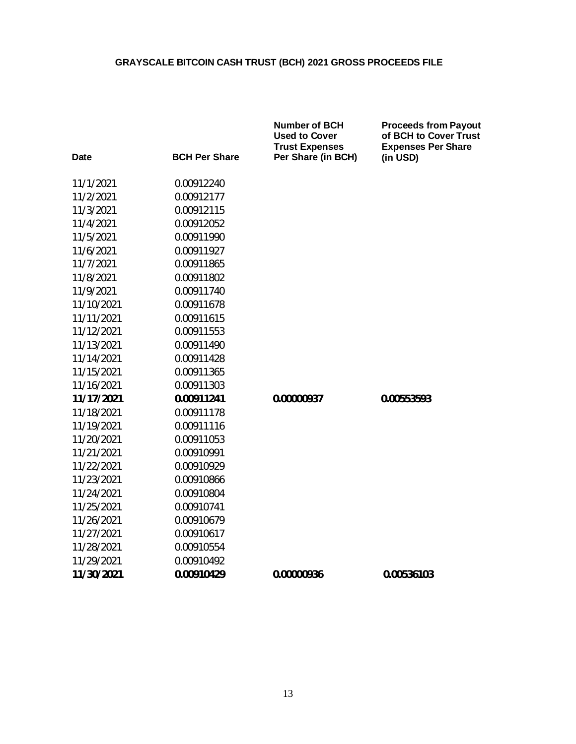| Date       | <b>BCH Per Share</b> | Number of BCH<br><b>Used to Cover</b><br><b>Trust Expenses</b><br>Per Share (in BCH) | <b>Proceeds from Payout</b><br>of BCH to Cover Trust<br><b>Expenses Per Share</b><br>(in USD) |
|------------|----------------------|--------------------------------------------------------------------------------------|-----------------------------------------------------------------------------------------------|
| 11/1/2021  | 0.00912240           |                                                                                      |                                                                                               |
| 11/2/2021  | 0.00912177           |                                                                                      |                                                                                               |
| 11/3/2021  | 0.00912115           |                                                                                      |                                                                                               |
| 11/4/2021  | 0.00912052           |                                                                                      |                                                                                               |
| 11/5/2021  | 0.00911990           |                                                                                      |                                                                                               |
| 11/6/2021  | 0.00911927           |                                                                                      |                                                                                               |
| 11/7/2021  | 0.00911865           |                                                                                      |                                                                                               |
| 11/8/2021  | 0.00911802           |                                                                                      |                                                                                               |
| 11/9/2021  | 0.00911740           |                                                                                      |                                                                                               |
| 11/10/2021 | 0.00911678           |                                                                                      |                                                                                               |
| 11/11/2021 | 0.00911615           |                                                                                      |                                                                                               |
| 11/12/2021 | 0.00911553           |                                                                                      |                                                                                               |
| 11/13/2021 | 0.00911490           |                                                                                      |                                                                                               |
| 11/14/2021 | 0.00911428           |                                                                                      |                                                                                               |
| 11/15/2021 | 0.00911365           |                                                                                      |                                                                                               |
| 11/16/2021 | 0.00911303           |                                                                                      |                                                                                               |
| 11/17/2021 | 0.00911241           | 0.00000937                                                                           | 0.00553593                                                                                    |
| 11/18/2021 | 0.00911178           |                                                                                      |                                                                                               |
| 11/19/2021 | 0.00911116           |                                                                                      |                                                                                               |
| 11/20/2021 | 0.00911053           |                                                                                      |                                                                                               |
| 11/21/2021 | 0.00910991           |                                                                                      |                                                                                               |
| 11/22/2021 | 0.00910929           |                                                                                      |                                                                                               |
| 11/23/2021 | 0.00910866           |                                                                                      |                                                                                               |
| 11/24/2021 | 0.00910804           |                                                                                      |                                                                                               |
| 11/25/2021 | 0.00910741           |                                                                                      |                                                                                               |
| 11/26/2021 | 0.00910679           |                                                                                      |                                                                                               |
| 11/27/2021 | 0.00910617           |                                                                                      |                                                                                               |
| 11/28/2021 | 0.00910554           |                                                                                      |                                                                                               |
| 11/29/2021 | 0.00910492           |                                                                                      |                                                                                               |
| 11/30/2021 | 0.00910429           | 0.00000936                                                                           | 0.00536103                                                                                    |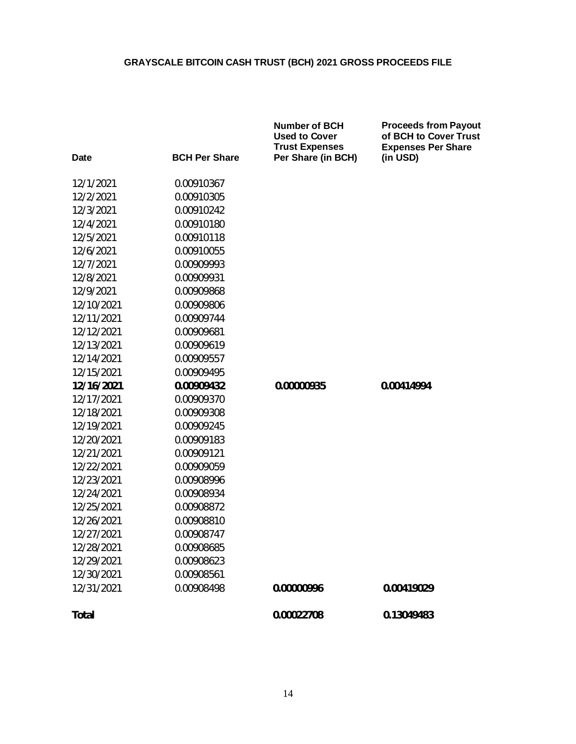|             |                      | <b>Number of BCH</b><br><b>Used to Cover</b><br><b>Trust Expenses</b> | <b>Proceeds from Payout</b><br>of BCH to Cover Trust<br><b>Expenses Per Share</b> |
|-------------|----------------------|-----------------------------------------------------------------------|-----------------------------------------------------------------------------------|
| <b>Date</b> | <b>BCH Per Share</b> | Per Share (in BCH)                                                    | (in USD)                                                                          |
| 12/1/2021   | 0.00910367           |                                                                       |                                                                                   |
| 12/2/2021   | 0.00910305           |                                                                       |                                                                                   |
| 12/3/2021   | 0.00910242           |                                                                       |                                                                                   |
| 12/4/2021   | 0.00910180           |                                                                       |                                                                                   |
| 12/5/2021   | 0.00910118           |                                                                       |                                                                                   |
| 12/6/2021   | 0.00910055           |                                                                       |                                                                                   |
| 12/7/2021   | 0.00909993           |                                                                       |                                                                                   |
| 12/8/2021   | 0.00909931           |                                                                       |                                                                                   |
| 12/9/2021   | 0.00909868           |                                                                       |                                                                                   |
| 12/10/2021  | 0.00909806           |                                                                       |                                                                                   |
| 12/11/2021  | 0.00909744           |                                                                       |                                                                                   |
| 12/12/2021  | 0.00909681           |                                                                       |                                                                                   |
| 12/13/2021  | 0.00909619           |                                                                       |                                                                                   |
| 12/14/2021  | 0.00909557           |                                                                       |                                                                                   |
| 12/15/2021  | 0.00909495           |                                                                       |                                                                                   |
| 12/16/2021  | 0.00909432           | 0.00000935                                                            | 0.00414994                                                                        |
| 12/17/2021  | 0.00909370           |                                                                       |                                                                                   |
| 12/18/2021  | 0.00909308           |                                                                       |                                                                                   |
| 12/19/2021  | 0.00909245           |                                                                       |                                                                                   |
| 12/20/2021  | 0.00909183           |                                                                       |                                                                                   |
| 12/21/2021  | 0.00909121           |                                                                       |                                                                                   |
| 12/22/2021  | 0.00909059           |                                                                       |                                                                                   |
| 12/23/2021  | 0.00908996           |                                                                       |                                                                                   |
| 12/24/2021  | 0.00908934           |                                                                       |                                                                                   |
| 12/25/2021  | 0.00908872           |                                                                       |                                                                                   |
| 12/26/2021  | 0.00908810           |                                                                       |                                                                                   |
| 12/27/2021  | 0.00908747           |                                                                       |                                                                                   |
| 12/28/2021  | 0.00908685           |                                                                       |                                                                                   |
| 12/29/2021  | 0.00908623           |                                                                       |                                                                                   |
| 12/30/2021  | 0.00908561           |                                                                       |                                                                                   |
| 12/31/2021  | 0.00908498           | 0.00000996                                                            | 0.00419029                                                                        |
| Total       |                      | 0.00022708                                                            | 0.13049483                                                                        |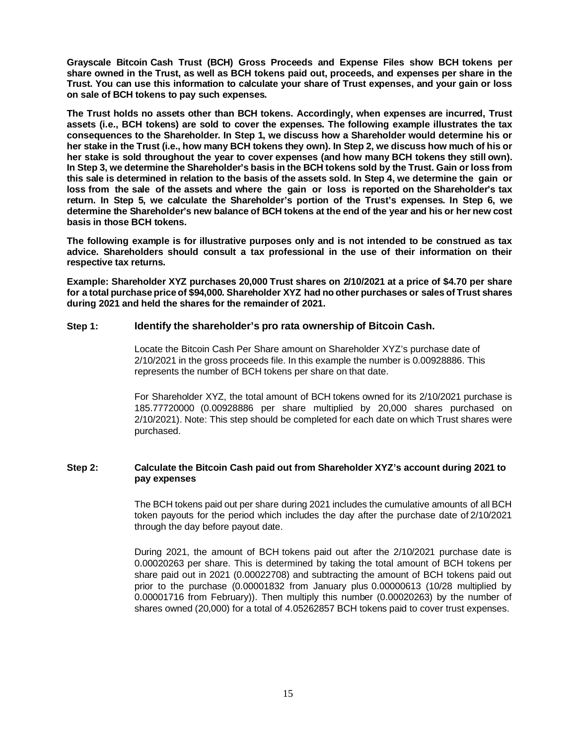**Grayscale Bitcoin Cash Trust (BCH) Gross Proceeds and Expense Files show BCH tokens per share owned in the Trust, as well as BCH tokens paid out, proceeds, and expenses per share in the Trust. You can use this information to calculate your share of Trust expenses, and your gain or loss on sale of BCH tokens to pay such expenses.**

**The Trust holds no assets other than BCH tokens. Accordingly, when expenses are incurred, Trust assets (i.e., BCH tokens) are sold to cover the expenses. The following example illustrates the tax consequences to the Shareholder. In Step 1, we discuss how a Shareholder would determine his or her stake in the Trust (i.e., how many BCH tokens they own). In Step 2, we discuss how much of his or her stake is sold throughout the year to cover expenses (and how many BCH tokens they still own). In Step 3, we determine the Shareholder's basis in the BCH tokens sold by the Trust. Gain or loss from this sale is determined in relation to the basis of the assets sold. In Step 4, we determine the gain or loss from the sale of the assets and where the gain or loss is reported on the Shareholder's tax return. In Step 5, we calculate the Shareholder's portion of the Trust's expenses. In Step 6, we determine the Shareholder's new balance of BCH tokens at the end of the year and his or her new cost basis in those BCH tokens.**

**The following example is for illustrative purposes only and is not intended to be construed as tax advice. Shareholders should consult a tax professional in the use of their information on their respective tax returns.**

**Example: Shareholder XYZ purchases 20,000 Trust shares on 2/10/2021 at a price of \$4.70 per share for a total purchase price of \$94,000. Shareholder XYZ had no other purchases or sales of Trust shares during 2021 and held the shares for the remainder of 2021.**

### **Step 1: Identify the shareholder's pro rata ownership of Bitcoin Cash.**

Locate the Bitcoin Cash Per Share amount on Shareholder XYZ's purchase date of 2/10/2021 in the gross proceeds file. In this example the number is 0.00928886. This represents the number of BCH tokens per share on that date.

For Shareholder XYZ, the total amount of BCH tokens owned for its 2/10/2021 purchase is 185.77720000 (0.00928886 per share multiplied by 20,000 shares purchased on 2/10/2021). Note: This step should be completed for each date on which Trust shares were purchased.

### **Step 2: Calculate the Bitcoin Cash paid out from Shareholder XYZ's account during 2021 to pay expenses**

The BCH tokens paid out per share during 2021 includes the cumulative amounts of all BCH token payouts for the period which includes the day after the purchase date of 2/10/2021 through the day before payout date.

During 2021, the amount of BCH tokens paid out after the 2/10/2021 purchase date is 0.00020263 per share. This is determined by taking the total amount of BCH tokens per share paid out in 2021 (0.00022708) and subtracting the amount of BCH tokens paid out prior to the purchase (0.00001832 from January plus 0.00000613 (10/28 multiplied by 0.00001716 from February)). Then multiply this number (0.00020263) by the number of shares owned (20,000) for a total of 4.05262857 BCH tokens paid to cover trust expenses.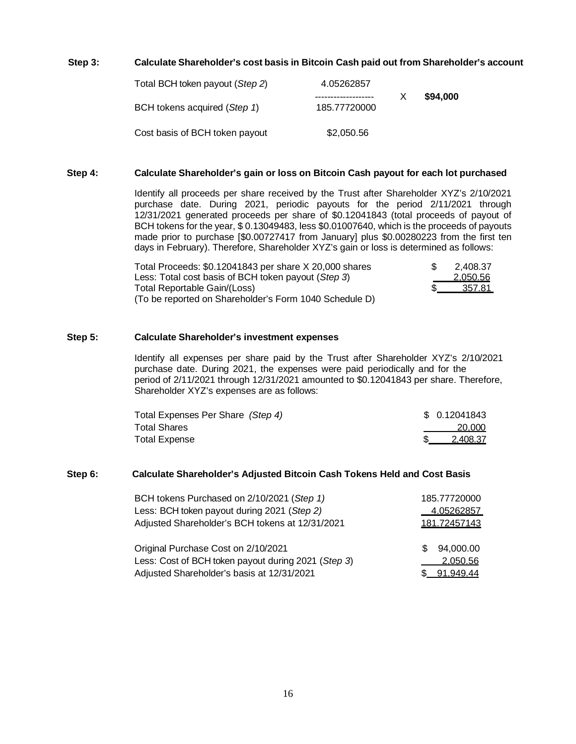### **Step 3: Calculate Shareholder's cost basis in Bitcoin Cash paid out from Shareholder's account**

| Total BCH token payout (Step 2) | 4.05262857   |          |
|---------------------------------|--------------|----------|
| BCH tokens acquired (Step 1)    | 185.77720000 | \$94,000 |
| Cost basis of BCH token payout  | \$2,050.56   |          |

#### **Step 4: Calculate Shareholder's gain or loss on Bitcoin Cash payout for each lot purchased**

Identify all proceeds per share received by the Trust after Shareholder XYZ's 2/10/2021 purchase date. During 2021, periodic payouts for the period 2/11/2021 through 12/31/2021 generated proceeds per share of \$0.12041843 (total proceeds of payout of BCH tokens for the year, \$ 0.13049483, less \$0.01007640, which is the proceeds of payouts made prior to purchase [\$0.00727417 from January] plus \$0.00280223 from the first ten days in February). Therefore, Shareholder XYZ's gain or loss is determined as follows:

| Total Proceeds: \$0.12041843 per share X 20,000 shares | 2.408.37 |
|--------------------------------------------------------|----------|
| Less: Total cost basis of BCH token payout (Step 3)    | 2.050.56 |
| Total Reportable Gain/(Loss)                           | -357.81  |
| (To be reported on Shareholder's Form 1040 Schedule D) |          |

#### **Step 5: Calculate Shareholder's investment expenses**

Identify all expenses per share paid by the Trust after Shareholder XYZ's 2/10/2021 purchase date. During 2021, the expenses were paid periodically and for the period of 2/11/2021 through 12/31/2021 amounted to \$0.12041843 per share. Therefore, Shareholder XYZ's expenses are as follows:

| Total Expenses Per Share (Step 4) | \$ 0.12041843 |
|-----------------------------------|---------------|
| Total Shares                      | 20,000        |
| Total Expense                     | 2.408.37      |

#### **Step 6: Calculate Shareholder's Adjusted Bitcoin Cash Tokens Held and Cost Basis**

| BCH tokens Purchased on 2/10/2021 (Step 1)                                                                                               | 185.77720000                             |
|------------------------------------------------------------------------------------------------------------------------------------------|------------------------------------------|
| Less: BCH token payout during 2021 (Step 2)                                                                                              | 4.05262857                               |
| Adjusted Shareholder's BCH tokens at 12/31/2021                                                                                          | 181.72457143                             |
| Original Purchase Cost on 2/10/2021<br>Less: Cost of BCH token payout during 2021 (Step 3)<br>Adjusted Shareholder's basis at 12/31/2021 | 94,000.00<br>£.<br>2,050.56<br>91.949.44 |